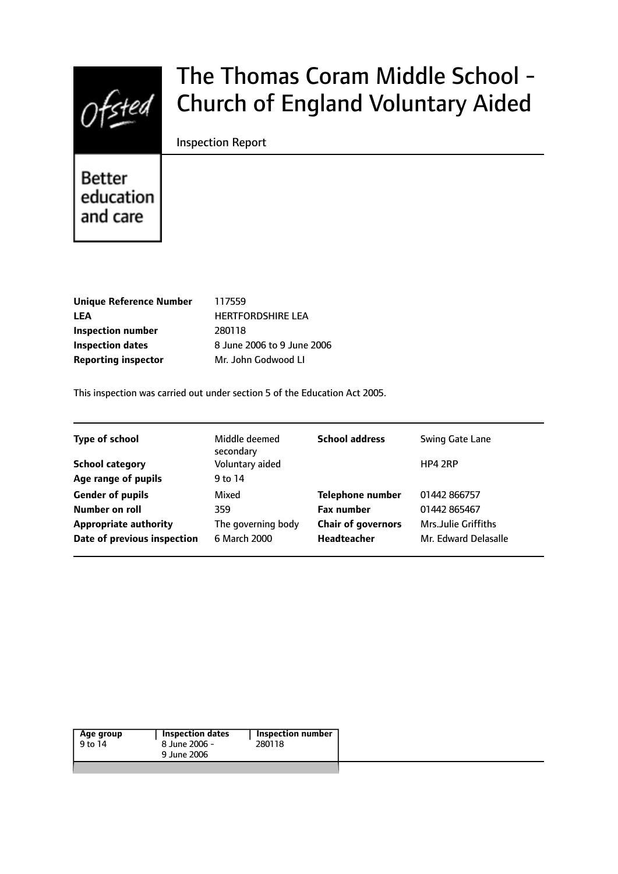

# The Thomas Coram Middle School - Church of England Voluntary Aided

Inspection Report

**Better** education and care

| <b>Unique Reference Number</b> | 117559        |
|--------------------------------|---------------|
| LEA                            | <b>HERTFO</b> |
| <b>Inspection number</b>       | 280118        |
| <b>Inspection dates</b>        | 8 June 2      |
| <b>Reporting inspector</b>     | Mr. John      |

**RDSHIRE LEA Pagabe 8 June 2006 Godwood LI** 

This inspection was carried out under section 5 of the Education Act 2005.

| <b>Type of school</b>        | Middle deemed<br>secondary | <b>School address</b>     | Swing Gate Lane      |
|------------------------------|----------------------------|---------------------------|----------------------|
| <b>School category</b>       | Voluntary aided            |                           | HP4 2RP              |
| Age range of pupils          | 9 to 14                    |                           |                      |
| <b>Gender of pupils</b>      | Mixed                      | <b>Telephone number</b>   | 01442 866757         |
| Number on roll               | 359                        | <b>Fax number</b>         | 01442 865467         |
| <b>Appropriate authority</b> | The governing body         | <b>Chair of governors</b> | Mrs.Julie Griffiths  |
| Date of previous inspection  | 6 March 2000               | <b>Headteacher</b>        | Mr. Edward Delasalle |
|                              |                            |                           |                      |

|--|--|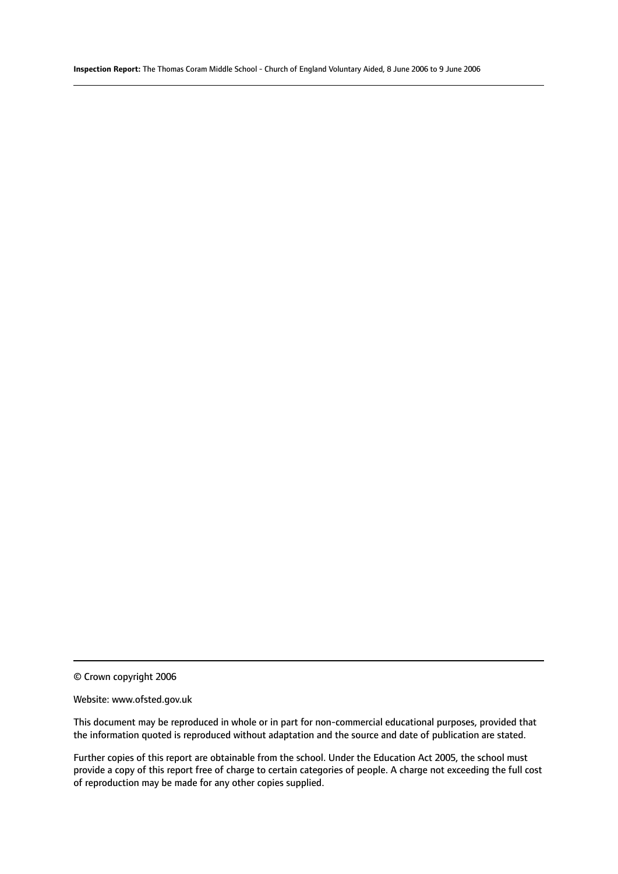© Crown copyright 2006

#### Website: www.ofsted.gov.uk

This document may be reproduced in whole or in part for non-commercial educational purposes, provided that the information quoted is reproduced without adaptation and the source and date of publication are stated.

Further copies of this report are obtainable from the school. Under the Education Act 2005, the school must provide a copy of this report free of charge to certain categories of people. A charge not exceeding the full cost of reproduction may be made for any other copies supplied.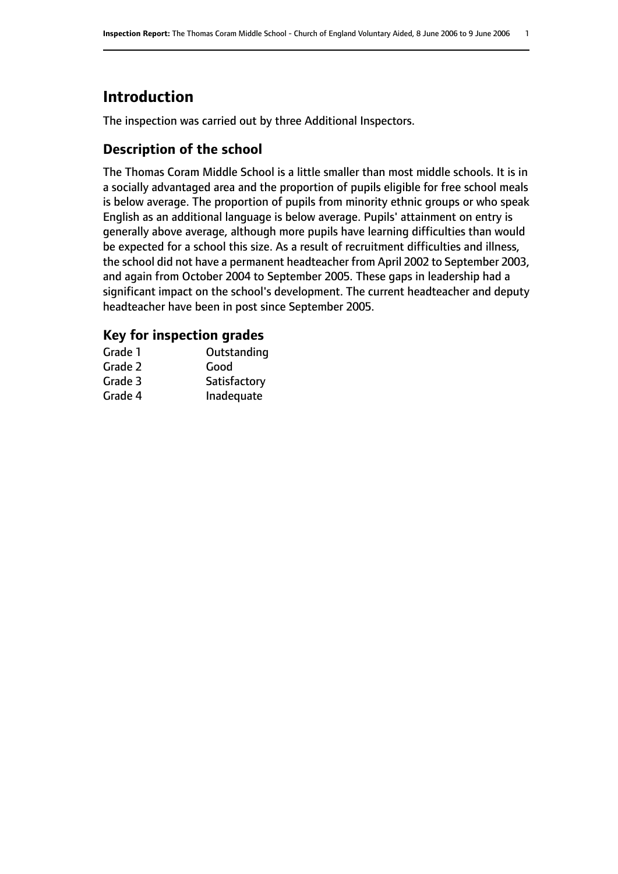# **Introduction**

The inspection was carried out by three Additional Inspectors.

# **Description of the school**

The Thomas Coram Middle School is a little smaller than most middle schools. It is in a socially advantaged area and the proportion of pupils eligible for free school meals is below average. The proportion of pupils from minority ethnic groups or who speak English as an additional language is below average. Pupils' attainment on entry is generally above average, although more pupils have learning difficulties than would be expected for a school this size. As a result of recruitment difficulties and illness, the school did not have a permanent headteacher from April 2002 to September 2003, and again from October 2004 to September 2005. These gaps in leadership had a significant impact on the school's development. The current headteacher and deputy headteacher have been in post since September 2005.

## **Key for inspection grades**

| Grade 1 | Outstanding  |
|---------|--------------|
| Grade 2 | Good         |
| Grade 3 | Satisfactory |
| Grade 4 | Inadequate   |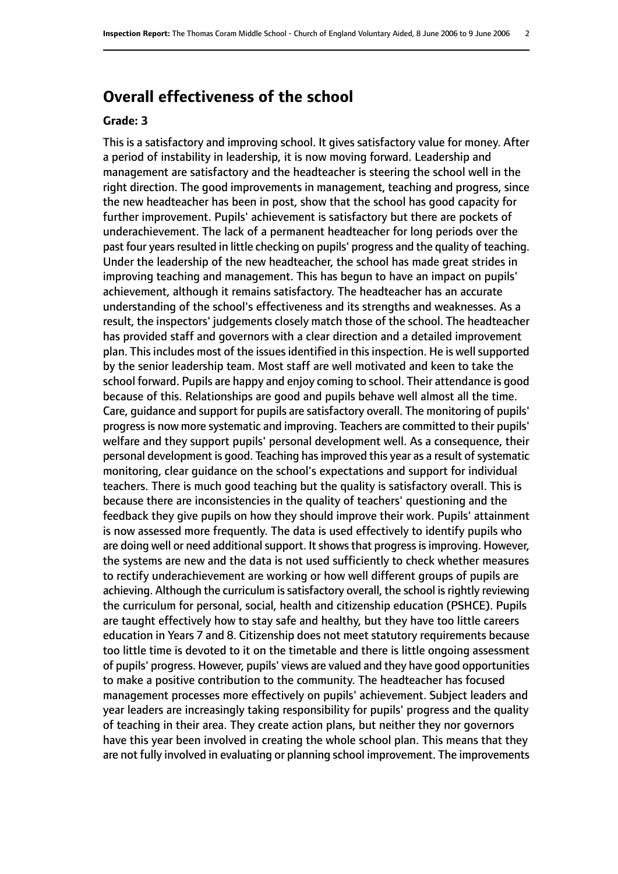# **Overall effectiveness of the school**

#### **Grade: 3**

This is a satisfactory and improving school. It gives satisfactory value for money. After a period of instability in leadership, it is now moving forward. Leadership and management are satisfactory and the headteacher is steering the school well in the right direction. The good improvements in management, teaching and progress, since the new headteacher has been in post, show that the school has good capacity for further improvement. Pupils' achievement is satisfactory but there are pockets of underachievement. The lack of a permanent headteacher for long periods over the past four years resulted in little checking on pupils' progress and the quality of teaching. Under the leadership of the new headteacher, the school has made great strides in improving teaching and management. This has begun to have an impact on pupils' achievement, although it remains satisfactory. The headteacher has an accurate understanding of the school's effectiveness and its strengths and weaknesses. As a result, the inspectors' judgements closely match those of the school. The headteacher has provided staff and governors with a clear direction and a detailed improvement plan. This includes most of the issues identified in this inspection. He is well supported by the senior leadership team. Most staff are well motivated and keen to take the school forward. Pupils are happy and enjoy coming to school. Their attendance is good because of this. Relationships are good and pupils behave well almost all the time. Care, guidance and support for pupils are satisfactory overall. The monitoring of pupils' progressis now more systematic and improving. Teachers are committed to their pupils' welfare and they support pupils' personal development well. As a consequence, their personal development is good. Teaching has improved this year as a result of systematic monitoring, clear guidance on the school's expectations and support for individual teachers. There is much good teaching but the quality is satisfactory overall. This is because there are inconsistencies in the quality of teachers' questioning and the feedback they give pupils on how they should improve their work. Pupils' attainment is now assessed more frequently. The data is used effectively to identify pupils who are doing well or need additional support. It shows that progress is improving. However, the systems are new and the data is not used sufficiently to check whether measures to rectify underachievement are working or how well different groups of pupils are achieving. Although the curriculum is satisfactory overall, the school is rightly reviewing the curriculum for personal, social, health and citizenship education (PSHCE). Pupils are taught effectively how to stay safe and healthy, but they have too little careers education in Years 7 and 8. Citizenship does not meet statutory requirements because too little time is devoted to it on the timetable and there is little ongoing assessment of pupils' progress. However, pupils' views are valued and they have good opportunities to make a positive contribution to the community. The headteacher has focused management processes more effectively on pupils' achievement. Subject leaders and year leaders are increasingly taking responsibility for pupils' progress and the quality of teaching in their area. They create action plans, but neither they nor governors have this year been involved in creating the whole school plan. This means that they are not fully involved in evaluating or planning school improvement. The improvements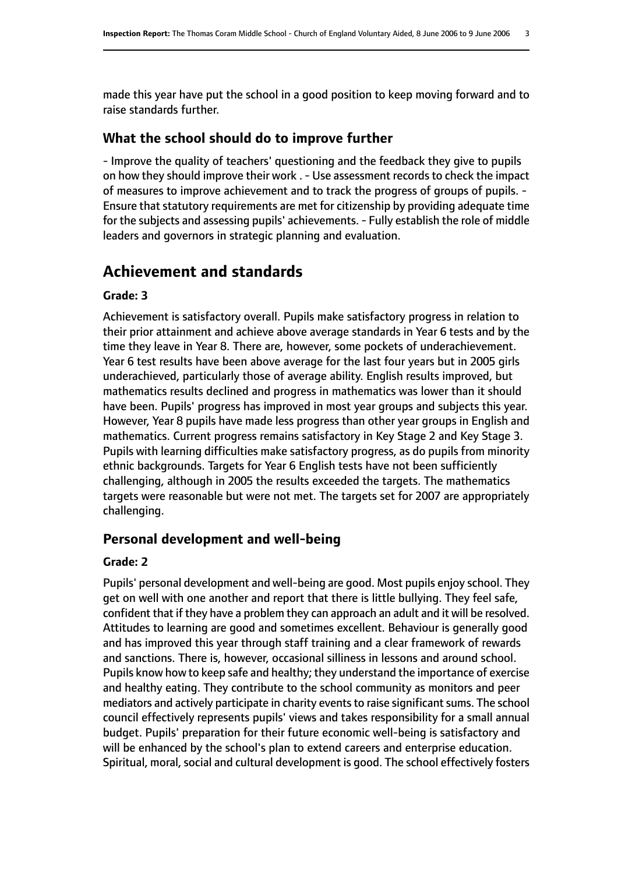made this year have put the school in a good position to keep moving forward and to raise standards further.

#### **What the school should do to improve further**

- Improve the quality of teachers' questioning and the feedback they give to pupils on how they should improve their work . - Use assessment records to check the impact of measures to improve achievement and to track the progress of groups of pupils. - Ensure that statutory requirements are met for citizenship by providing adequate time for the subjects and assessing pupils' achievements. - Fully establish the role of middle leaders and governors in strategic planning and evaluation.

# **Achievement and standards**

#### **Grade: 3**

Achievement is satisfactory overall. Pupils make satisfactory progress in relation to their prior attainment and achieve above average standards in Year 6 tests and by the time they leave in Year 8. There are, however, some pockets of underachievement. Year 6 test results have been above average for the last four years but in 2005 girls underachieved, particularly those of average ability. English results improved, but mathematics results declined and progress in mathematics was lower than it should have been. Pupils' progress has improved in most year groups and subjects this year. However, Year 8 pupils have made less progress than other year groups in English and mathematics. Current progress remains satisfactory in Key Stage 2 and Key Stage 3. Pupils with learning difficulties make satisfactory progress, as do pupils from minority ethnic backgrounds. Targets for Year 6 English tests have not been sufficiently challenging, although in 2005 the results exceeded the targets. The mathematics targets were reasonable but were not met. The targets set for 2007 are appropriately challenging.

## **Personal development and well-being**

#### **Grade: 2**

Pupils' personal development and well-being are good. Most pupils enjoy school. They get on well with one another and report that there is little bullying. They feel safe, confident that if they have a problem they can approach an adult and it will be resolved. Attitudes to learning are good and sometimes excellent. Behaviour is generally good and has improved this year through staff training and a clear framework of rewards and sanctions. There is, however, occasional silliness in lessons and around school. Pupils know how to keep safe and healthy; they understand the importance of exercise and healthy eating. They contribute to the school community as monitors and peer mediators and actively participate in charity events to raise significant sums. The school council effectively represents pupils' views and takes responsibility for a small annual budget. Pupils' preparation for their future economic well-being is satisfactory and will be enhanced by the school's plan to extend careers and enterprise education. Spiritual, moral, social and cultural development is good. The school effectively fosters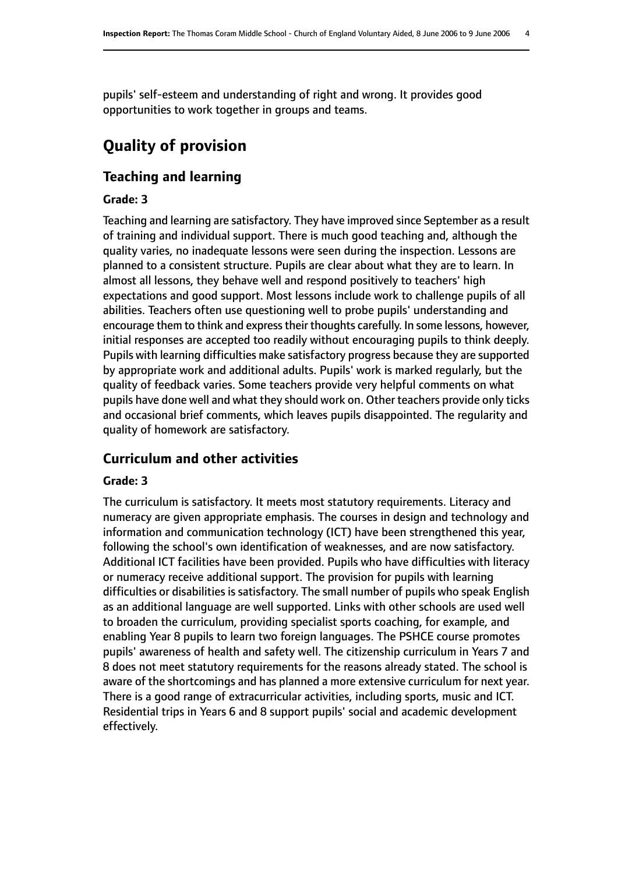pupils' self-esteem and understanding of right and wrong. It provides good opportunities to work together in groups and teams.

# **Quality of provision**

# **Teaching and learning**

#### **Grade: 3**

Teaching and learning are satisfactory. They have improved since September as a result of training and individual support. There is much good teaching and, although the quality varies, no inadequate lessons were seen during the inspection. Lessons are planned to a consistent structure. Pupils are clear about what they are to learn. In almost all lessons, they behave well and respond positively to teachers' high expectations and good support. Most lessons include work to challenge pupils of all abilities. Teachers often use questioning well to probe pupils' understanding and encourage them to think and express their thoughts carefully. In some lessons, however, initial responses are accepted too readily without encouraging pupils to think deeply. Pupils with learning difficulties make satisfactory progress because they are supported by appropriate work and additional adults. Pupils' work is marked regularly, but the quality of feedback varies. Some teachers provide very helpful comments on what pupils have done well and what they should work on. Other teachers provide only ticks and occasional brief comments, which leaves pupils disappointed. The regularity and quality of homework are satisfactory.

# **Curriculum and other activities**

## **Grade: 3**

The curriculum is satisfactory. It meets most statutory requirements. Literacy and numeracy are given appropriate emphasis. The courses in design and technology and information and communication technology (ICT) have been strengthened this year, following the school's own identification of weaknesses, and are now satisfactory. Additional ICT facilities have been provided. Pupils who have difficulties with literacy or numeracy receive additional support. The provision for pupils with learning difficulties or disabilities is satisfactory. The small number of pupils who speak English as an additional language are well supported. Links with other schools are used well to broaden the curriculum, providing specialist sports coaching, for example, and enabling Year 8 pupils to learn two foreign languages. The PSHCE course promotes pupils' awareness of health and safety well. The citizenship curriculum in Years 7 and 8 does not meet statutory requirements for the reasons already stated. The school is aware of the shortcomings and has planned a more extensive curriculum for next year. There is a good range of extracurricular activities, including sports, music and ICT. Residential trips in Years 6 and 8 support pupils' social and academic development effectively.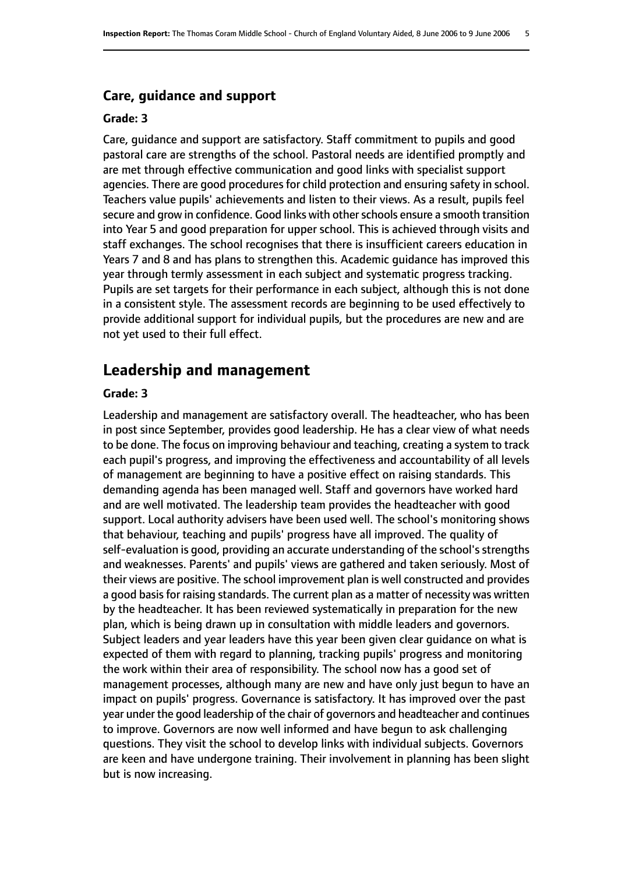#### **Care, guidance and support**

#### **Grade: 3**

Care, guidance and support are satisfactory. Staff commitment to pupils and good pastoral care are strengths of the school. Pastoral needs are identified promptly and are met through effective communication and good links with specialist support agencies. There are good procedures for child protection and ensuring safety in school. Teachers value pupils' achievements and listen to their views. As a result, pupils feel secure and grow in confidence. Good links with other schools ensure a smooth transition into Year 5 and good preparation for upper school. This is achieved through visits and staff exchanges. The school recognises that there is insufficient careers education in Years 7 and 8 and has plans to strengthen this. Academic guidance has improved this year through termly assessment in each subject and systematic progress tracking. Pupils are set targets for their performance in each subject, although this is not done in a consistent style. The assessment records are beginning to be used effectively to provide additional support for individual pupils, but the procedures are new and are not yet used to their full effect.

# **Leadership and management**

#### **Grade: 3**

Leadership and management are satisfactory overall. The headteacher, who has been in post since September, provides good leadership. He has a clear view of what needs to be done. The focus on improving behaviour and teaching, creating a system to track each pupil's progress, and improving the effectiveness and accountability of all levels of management are beginning to have a positive effect on raising standards. This demanding agenda has been managed well. Staff and governors have worked hard and are well motivated. The leadership team provides the headteacher with good support. Local authority advisers have been used well. The school's monitoring shows that behaviour, teaching and pupils' progress have all improved. The quality of self-evaluation is good, providing an accurate understanding of the school's strengths and weaknesses. Parents' and pupils' views are gathered and taken seriously. Most of their views are positive. The school improvement plan is well constructed and provides a good basis for raising standards. The current plan as a matter of necessity was written by the headteacher. It has been reviewed systematically in preparation for the new plan, which is being drawn up in consultation with middle leaders and governors. Subject leaders and year leaders have this year been given clear guidance on what is expected of them with regard to planning, tracking pupils' progress and monitoring the work within their area of responsibility. The school now has a good set of management processes, although many are new and have only just begun to have an impact on pupils' progress. Governance is satisfactory. It has improved over the past year under the good leadership of the chair of governors and headteacher and continues to improve. Governors are now well informed and have begun to ask challenging questions. They visit the school to develop links with individual subjects. Governors are keen and have undergone training. Their involvement in planning has been slight but is now increasing.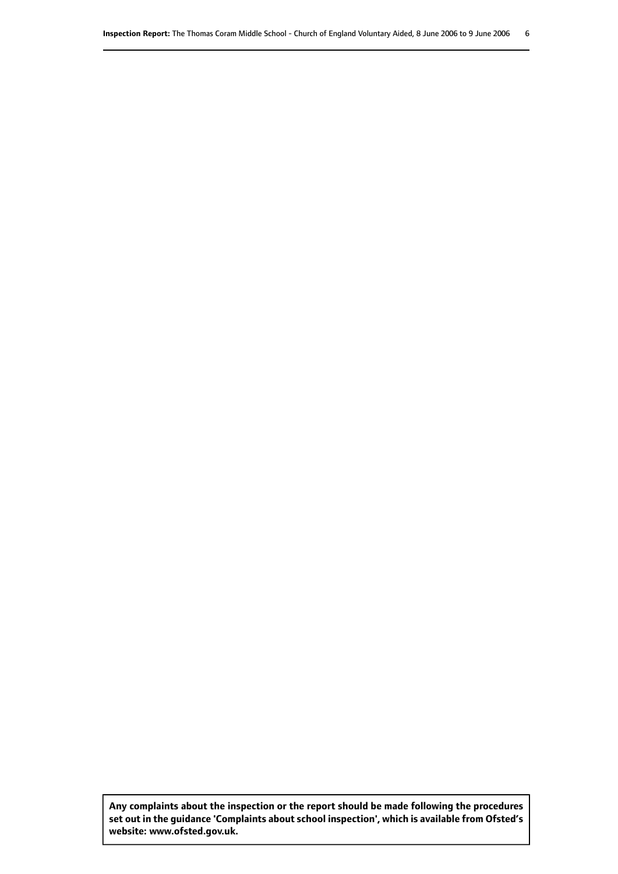**Any complaints about the inspection or the report should be made following the procedures set out inthe guidance 'Complaints about school inspection', whichis available from Ofsted's website: www.ofsted.gov.uk.**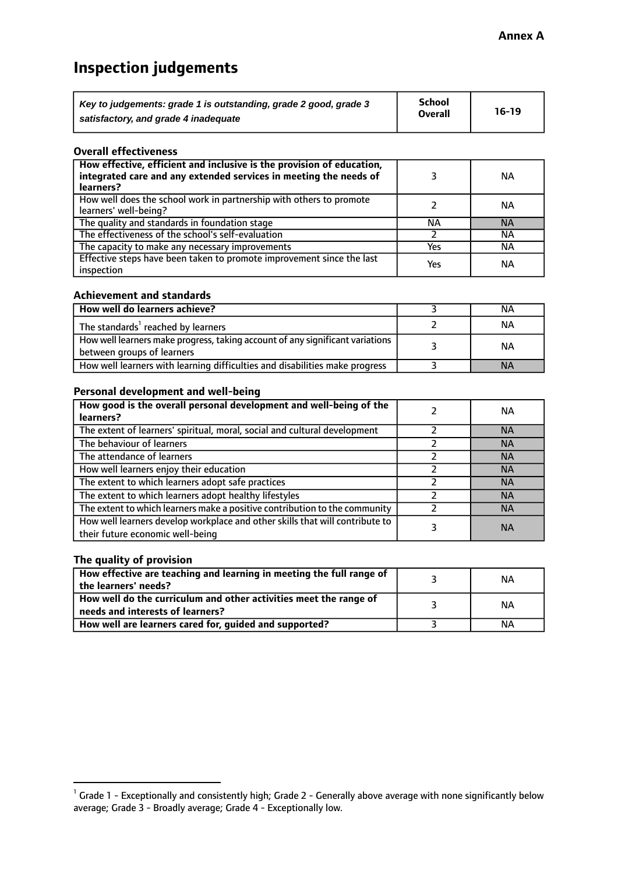# **Inspection judgements**

| Key to judgements: grade 1 is outstanding, grade 2 good, grade 3 | School         | $16-19$ |
|------------------------------------------------------------------|----------------|---------|
| satisfactory, and grade 4 inadequate                             | <b>Overall</b> |         |

#### **Overall effectiveness**

| How effective, efficient and inclusive is the provision of education,<br>integrated care and any extended services in meeting the needs of<br>learners? |     | <b>NA</b> |
|---------------------------------------------------------------------------------------------------------------------------------------------------------|-----|-----------|
| How well does the school work in partnership with others to promote<br>learners' well-being?                                                            |     | ΝA        |
| The quality and standards in foundation stage                                                                                                           | ΝA  | <b>NA</b> |
| The effectiveness of the school's self-evaluation                                                                                                       |     | ΝA        |
| The capacity to make any necessary improvements                                                                                                         | Yes | NА        |
| Effective steps have been taken to promote improvement since the last<br>inspection                                                                     | Yes | <b>NA</b> |

#### **Achievement and standards**

| How well do learners achieve?                                                                               | ΝA        |
|-------------------------------------------------------------------------------------------------------------|-----------|
| The standards <sup>1</sup> reached by learners                                                              | NА        |
| How well learners make progress, taking account of any significant variations<br>between groups of learners | <b>NA</b> |
| How well learners with learning difficulties and disabilities make progress                                 | <b>NA</b> |

#### **Personal development and well-being**

| How good is the overall personal development and well-being of the<br>learners?                                  | ΝA        |
|------------------------------------------------------------------------------------------------------------------|-----------|
| The extent of learners' spiritual, moral, social and cultural development                                        | <b>NA</b> |
| The behaviour of learners                                                                                        | <b>NA</b> |
| The attendance of learners                                                                                       | <b>NA</b> |
| How well learners enjoy their education                                                                          | <b>NA</b> |
| The extent to which learners adopt safe practices                                                                | <b>NA</b> |
| The extent to which learners adopt healthy lifestyles                                                            | <b>NA</b> |
| The extent to which learners make a positive contribution to the community                                       | <b>NA</b> |
| How well learners develop workplace and other skills that will contribute to<br>their future economic well-being | <b>NA</b> |

## **The quality of provision**

| How effective are teaching and learning in meeting the full range of<br>the learners' needs?          | ΝA |
|-------------------------------------------------------------------------------------------------------|----|
| How well do the curriculum and other activities meet the range of<br>needs and interests of learners? | ΝA |
| How well are learners cared for, guided and supported?                                                | NА |

 $^1$  Grade 1 - Exceptionally and consistently high; Grade 2 - Generally above average with none significantly below average; Grade 3 - Broadly average; Grade 4 - Exceptionally low.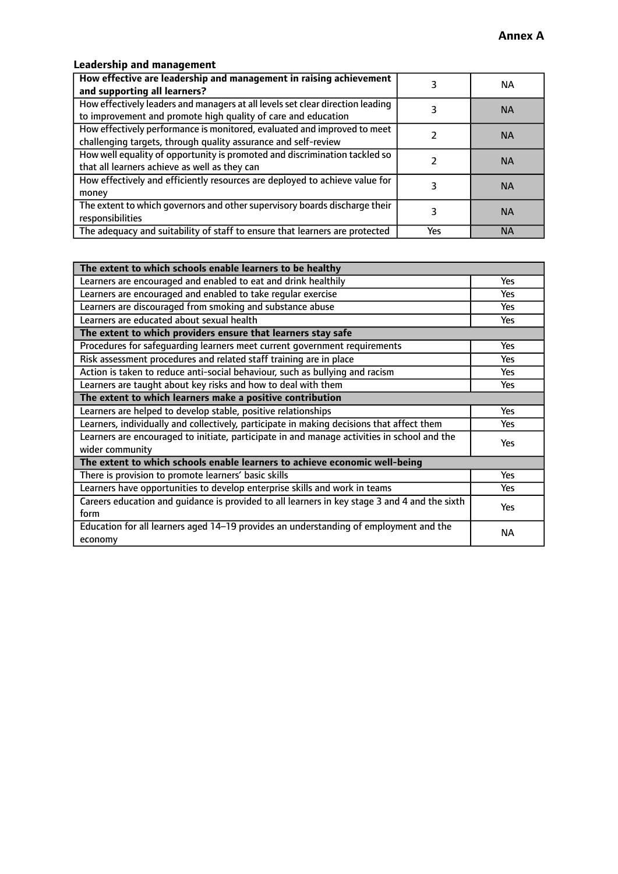# **Leadership and management**

| How effective are leadership and management in raising achievement<br>and supporting all learners?                                              |     | NA.       |
|-------------------------------------------------------------------------------------------------------------------------------------------------|-----|-----------|
| How effectively leaders and managers at all levels set clear direction leading<br>to improvement and promote high quality of care and education |     | <b>NA</b> |
| How effectively performance is monitored, evaluated and improved to meet<br>challenging targets, through quality assurance and self-review      |     | <b>NA</b> |
| How well equality of opportunity is promoted and discrimination tackled so<br>that all learners achieve as well as they can                     |     | <b>NA</b> |
| How effectively and efficiently resources are deployed to achieve value for<br>money                                                            |     | <b>NA</b> |
| The extent to which governors and other supervisory boards discharge their<br>responsibilities                                                  |     | <b>NA</b> |
| The adequacy and suitability of staff to ensure that learners are protected                                                                     | Yes | <b>NA</b> |

| The extent to which schools enable learners to be healthy                                                      |            |  |
|----------------------------------------------------------------------------------------------------------------|------------|--|
| Learners are encouraged and enabled to eat and drink healthily                                                 | Yes        |  |
| Learners are encouraged and enabled to take regular exercise                                                   | Yes        |  |
| Learners are discouraged from smoking and substance abuse                                                      | <b>Yes</b> |  |
| Learners are educated about sexual health                                                                      | <b>Yes</b> |  |
| The extent to which providers ensure that learners stay safe                                                   |            |  |
| Procedures for safequarding learners meet current government requirements                                      | Yes        |  |
| Risk assessment procedures and related staff training are in place                                             | Yes        |  |
| Action is taken to reduce anti-social behaviour, such as bullying and racism                                   | <b>Yes</b> |  |
| Learners are taught about key risks and how to deal with them                                                  | Yes        |  |
| The extent to which learners make a positive contribution                                                      |            |  |
| Learners are helped to develop stable, positive relationships                                                  | Yes        |  |
| Learners, individually and collectively, participate in making decisions that affect them                      | Yes        |  |
| Learners are encouraged to initiate, participate in and manage activities in school and the<br>wider community | <b>Yes</b> |  |
| The extent to which schools enable learners to achieve economic well-being                                     |            |  |
| There is provision to promote learners' basic skills                                                           | Yes        |  |
| Learners have opportunities to develop enterprise skills and work in teams                                     | Yes        |  |
| Careers education and quidance is provided to all learners in key stage 3 and 4 and the sixth<br>form          | <b>Yes</b> |  |
| Education for all learners aged 14-19 provides an understanding of employment and the<br>economy               | <b>NA</b>  |  |